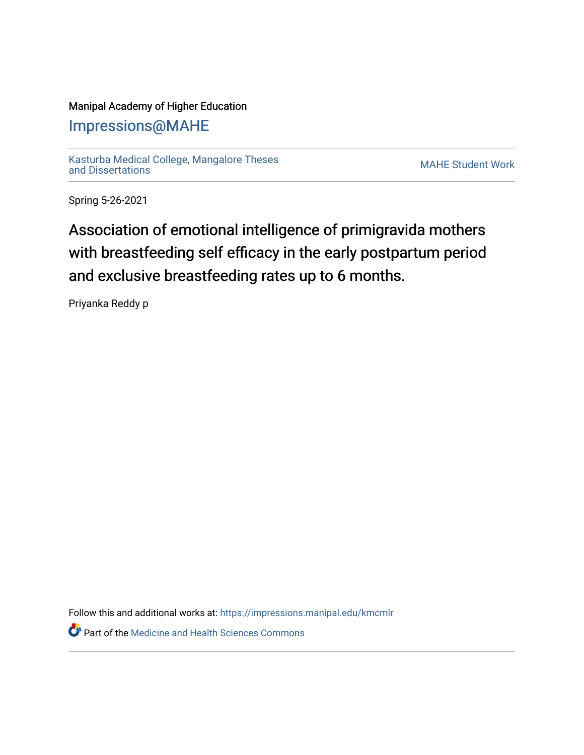## Manipal Academy of Higher Education

# [Impressions@MAHE](https://impressions.manipal.edu/)

[Kasturba Medical College, Mangalore Theses](https://impressions.manipal.edu/kmcmlr) [and Dissertations](https://impressions.manipal.edu/kmcmlr) [MAHE Student Work](https://impressions.manipal.edu/student-work) 

Spring 5-26-2021

# Association of emotional intelligence of primigravida mothers with breastfeeding self efficacy in the early postpartum period and exclusive breastfeeding rates up to 6 months.

Priyanka Reddy p

Follow this and additional works at: [https://impressions.manipal.edu/kmcmlr](https://impressions.manipal.edu/kmcmlr?utm_source=impressions.manipal.edu%2Fkmcmlr%2F169&utm_medium=PDF&utm_campaign=PDFCoverPages)  *O* Part of the Medicine and Health Sciences Commons